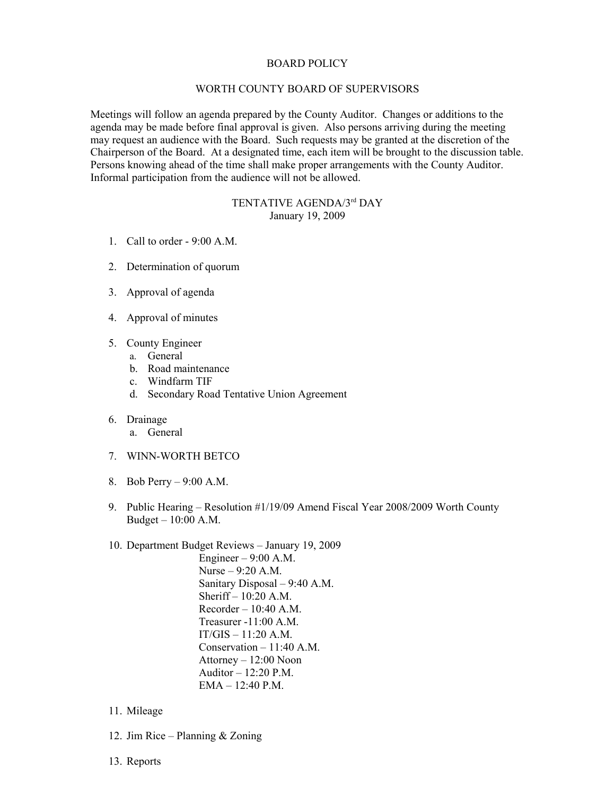## BOARD POLICY

## WORTH COUNTY BOARD OF SUPERVISORS

Meetings will follow an agenda prepared by the County Auditor. Changes or additions to the agenda may be made before final approval is given. Also persons arriving during the meeting may request an audience with the Board. Such requests may be granted at the discretion of the Chairperson of the Board. At a designated time, each item will be brought to the discussion table. Persons knowing ahead of the time shall make proper arrangements with the County Auditor. Informal participation from the audience will not be allowed.

## TENTATIVE AGENDA/3rd DAY January 19, 2009

- 1. Call to order 9:00 A.M.
- 2. Determination of quorum
- 3. Approval of agenda
- 4. Approval of minutes
- 5. County Engineer
	- a. General
	- b. Road maintenance
	- c. Windfarm TIF
	- d. Secondary Road Tentative Union Agreement
- 6. Drainage
	- a. General
- 7. WINN-WORTH BETCO
- 8. Bob Perry 9:00 A.M.
- 9. Public Hearing Resolution #1/19/09 Amend Fiscal Year 2008/2009 Worth County Budget – 10:00 A.M.
- 10. Department Budget Reviews January 19, 2009 Engineer – 9:00 A.M. Nurse – 9:20 A.M. Sanitary Disposal – 9:40 A.M. Sheriff – 10:20 A.M. Recorder – 10:40 A.M. Treasurer -11:00 A.M.  $IT/GIS - 11:20 A.M.$

Conservation – 11:40 A.M. Attorney – 12:00 Noon Auditor – 12:20 P.M. EMA – 12:40 P.M.

- 11. Mileage
- 12. Jim Rice Planning & Zoning
- 13. Reports